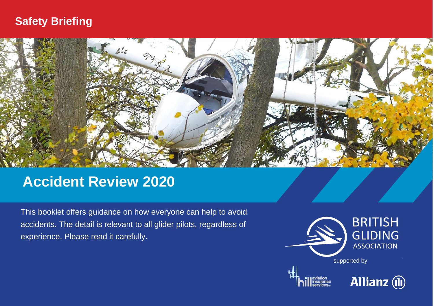### **Safety Briefing**



## **Accident Review 2020**

This booklet offers guidance on how everyone can help to avoid accidents. The detail is relevant to all glider pilots, regardless of experience. Please read it carefully.



**Allianz** (11)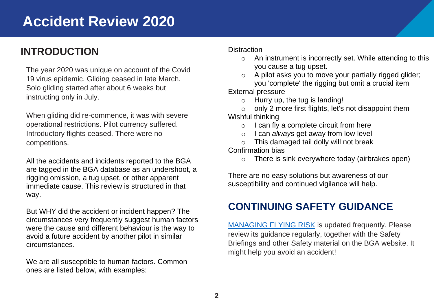### **INTRODUCTION**

The year 2020 was unique on account of the Covid 19 virus epidemic. Gliding ceased in late March. Solo gliding started after about 6 weeks but instructing only in July.

When gliding did re-commence, it was with severe operational restrictions. Pilot currency suffered. Introductory flights ceased. There were no competitions.

All the accidents and incidents reported to the BGA are tagged in the BGA database as an undershoot, a rigging omission, a tug upset, or other apparent immediate cause. This review is structured in that way.

But WHY did the accident or incident happen? The circumstances very frequently suggest human factors were the cause and different behaviour is the way to avoid a future accident by another pilot in similar circumstances.

We are all susceptible to human factors. Common ones are listed below, with examples:

### **Distraction**

- o An instrument is incorrectly set. While attending to this you cause a tug upset.
- o A pilot asks you to move your partially rigged glider; you 'complete' the rigging but omit a crucial item

External pressure

- $\circ$  Hurry up, the tug is landing!
- only 2 more first flights, let's not disappoint them Wishful thinking
	- o I can fly a complete circuit from here
	- o I can *always* get away from low level
	- o This damaged tail dolly will not break

Confirmation bias

o There is sink everywhere today (airbrakes open)

There are no easy solutions but awareness of our susceptibility and continued vigilance will help.

### **CONTINUING SAFETY GUIDANCE**

[MANAGING FLYING RISK](https://members.gliding.co.uk/managing-flying-risk-index/) is updated frequently. Please review its guidance regularly, together with the Safety Briefings and other Safety material on the BGA website. It might help you avoid an accident!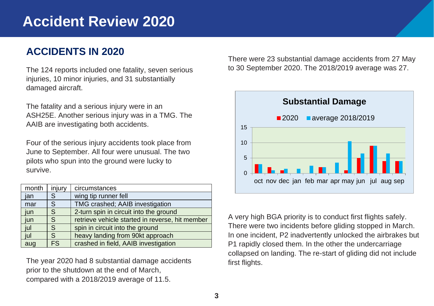### **ACCIDENTS IN 2020**

The 124 reports included one fatality, seven serious injuries, 10 minor injuries, and 31 substantially damaged aircraft.

The fatality and a serious injury were in an ASH25E. Another serious injury was in a TMG. The AAIB are investigating both accidents.

Four of the serious injury accidents took place from June to September. All four were unusual. The two pilots who spun into the ground were lucky to survive.

| month | injury | circumstances                                   |
|-------|--------|-------------------------------------------------|
| jan   | S      | wing tip runner fell                            |
| mar   | S      | TMG crashed; AAIB investigation                 |
| jun   | S      | 2-turn spin in circuit into the ground          |
| jun   | S      | retrieve vehicle started in reverse, hit member |
| jul   | S      | spin in circuit into the ground                 |
| jul   | S      | heavy landing from 90kt approach                |
| aug   | FS.    | crashed in field, AAIB investigation            |

The year 2020 had 8 substantial damage accidents prior to the shutdown at the end of March, compared with a 2018/2019 average of 11.5.

There were 23 substantial damage accidents from 27 May to 30 September 2020. The 2018/2019 average was 27.



A very high BGA priority is to conduct first flights safely. There were two incidents before gliding stopped in March. In one incident, P2 inadvertently unlocked the airbrakes but P1 rapidly closed them. In the other the undercarriage collapsed on landing. The re-start of gliding did not include first flights.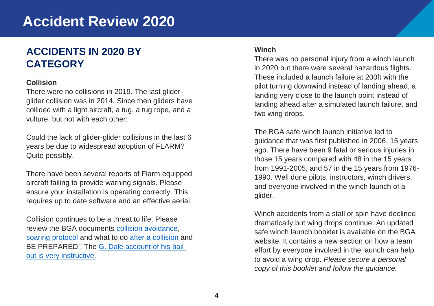### **ACCIDENTS IN 2020 BY CATEGORY**

### **Collision**

There were no collisions in 2019. The last gliderglider collision was in 2014. Since then gliders have collided with a light aircraft, a tug, a tug rope, and a vulture, but not with each other:

Could the lack of glider-glider collisions in the last 6 years be due to widespread adoption of FLARM? Quite possibly.

There have been several reports of Flarm equipped aircraft failing to provide warning signals. Please ensure your installation is operating correctly. This requires up to date software and an effective aerial.

Collision continues to be a threat to life. Please review the BGA documents [collision avoidance,](https://members.gliding.co.uk/bga-safety-management/lookout/) [soaring protocol](https://members.gliding.co.uk/library/safety-briefings/soaring-protocol/) and what to do [after a collision](https://members.gliding.co.uk/wp-content/uploads/sites/3/2015/04/Parachuting-after-a-midair-collision.pdf) and BE PREPARED!! The G. Dale account of his bail [out is very instructive.](https://www.youtube.com/watch?v=cDXIxHAmSX0)

### **Winch**

There was no personal injury from a winch launch in 2020 but there were several hazardous flights. These included a launch failure at 200ft with the pilot turning downwind instead of landing ahead, a landing very close to the launch point instead of landing ahead after a simulated launch failure, and two wing drops.

The BGA safe winch launch initiative led to guidance that was first published in 2006, 15 years ago. There have been 9 fatal or serious injuries in those 15 years compared with 48 in the 15 years from 1991-2005, and 57 in the 15 years from 1976- 1990. Well done pilots, instructors, winch drivers, and everyone involved in the winch launch of a glider.

Winch accidents from a stall or spin have declined dramatically but wing drops continue. An updated safe winch launch booklet is available on the BGA website. It contains a new section on how a team effort by everyone involved in the launch can help to avoid a wing drop. *Please secure a personal copy of this booklet and follow the guidance.*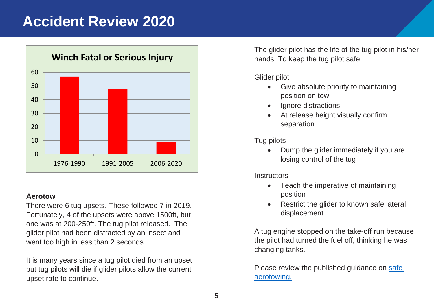

### **Aerotow**

There were 6 tug upsets. These followed 7 in 2019. Fortunately, 4 of the upsets were above 1500ft, but one was at 200-250ft. The tug pilot released. The glider pilot had been distracted by an insect and went too high in less than 2 seconds.

It is many years since a tug pilot died from an upset but tug pilots will die if glider pilots allow the current upset rate to continue.

The glider pilot has the life of the tug pilot in his/her hands. To keep the tug pilot safe:

Glider pilot

- Give absolute priority to maintaining position on tow
- Ignore distractions
- At release height visually confirm separation

Tug pilots

• Dump the glider immediately if you are losing control of the tug

**Instructors** 

- Teach the imperative of maintaining position
- Restrict the glider to known safe lateral displacement

A tug engine stopped on the take-off run because the pilot had turned the fuel off, thinking he was changing tanks.

Please review the published guidance on [safe](https://members.gliding.co.uk/bga-safety-management/safe-aerotowing/)  [aerotowing.](https://members.gliding.co.uk/bga-safety-management/safe-aerotowing/)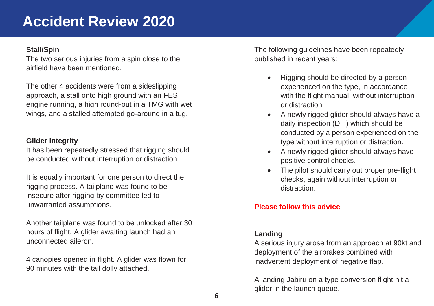### **Stall/Spin**

The two serious injuries from a spin close to the airfield have been mentioned.

The other 4 accidents were from a sideslipping approach, a stall onto high ground with an FES engine running, a high round-out in a TMG with wet wings, and a stalled attempted go-around in a tug.

### **Glider integrity**

It has been repeatedly stressed that rigging should be conducted without interruption or distraction.

It is equally important for one person to direct the rigging process. A tailplane was found to be insecure after rigging by committee led to unwarranted assumptions.

Another tailplane was found to be unlocked after 30 hours of flight. A glider awaiting launch had an unconnected aileron.

4 canopies opened in flight. A glider was flown for 90 minutes with the tail dolly attached.

The following guidelines have been repeatedly published in recent years:

- Rigging should be directed by a person experienced on the type, in accordance with the flight manual, without interruption or distraction.
- A newly rigged glider should always have a daily inspection (D.I.) which should be conducted by a person experienced on the type without interruption or distraction.
- A newly rigged glider should always have positive control checks.
- The pilot should carry out proper pre-flight checks, again without interruption or distraction.

### **Please follow this advice**

### **Landing**

A serious injury arose from an approach at 90kt and deployment of the airbrakes combined with inadvertent deployment of negative flap.

A landing Jabiru on a type conversion flight hit a glider in the launch queue.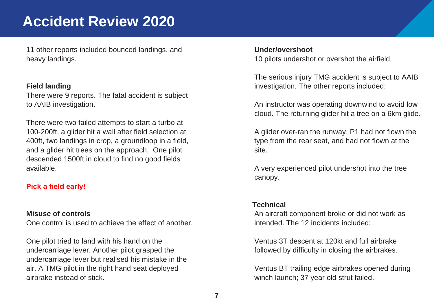11 other reports included bounced landings, and heavy landings.

#### **Field landing**

There were 9 reports. The fatal accident is subject to AAIB investigation.

There were two failed attempts to start a turbo at 100-200ft, a glider hit a wall after field selection at 400ft, two landings in crop, a groundloop in a field, and a glider hit trees on the approach. One pilot descended 1500ft in cloud to find no good fields available.

### **Pick a field early!**

### **Misuse of controls**

One control is used to achieve the effect of another.

One pilot tried to land with his hand on the undercarriage lever. Another pilot grasped the undercarriage lever but realised his mistake in the air. A TMG pilot in the right hand seat deployed airbrake instead of stick.

#### **Under/overshoot**

10 pilots undershot or overshot the airfield.

The serious injury TMG accident is subject to AAIB investigation. The other reports included:

An instructor was operating downwind to avoid low cloud. The returning glider hit a tree on a 6km glide.

A glider over-ran the runway. P1 had not flown the type from the rear seat, and had not flown at the site.

A very experienced pilot undershot into the tree canopy.

### **Technical**

An aircraft component broke or did not work as intended. The 12 incidents included:

Ventus 3T descent at 120kt and full airbrake followed by difficulty in closing the airbrakes.

Ventus BT trailing edge airbrakes opened during winch launch; 37 year old strut failed.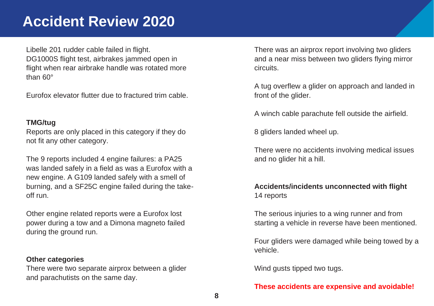Libelle 201 rudder cable failed in flight. DG1000S flight test, airbrakes jammed open in flight when rear airbrake handle was rotated more than 60°

Eurofox elevator flutter due to fractured trim cable.

### **TMG/tug**

Reports are only placed in this category if they do not fit any other category.

The 9 reports included 4 engine failures: a PA25 was landed safely in a field as was a Eurofox with a new engine. A G109 landed safely with a smell of burning, and a SF25C engine failed during the takeoff run.

Other engine related reports were a Eurofox lost power during a tow and a Dimona magneto failed during the ground run.

### **Other categories**

There were two separate airprox between a glider and parachutists on the same day.

There was an airprox report involving two gliders and a near miss between two gliders flying mirror circuits.

A tug overflew a glider on approach and landed in front of the glider.

A winch cable parachute fell outside the airfield.

8 gliders landed wheel up.

There were no accidents involving medical issues and no glider hit a hill.

### **Accidents/incidents unconnected with flight** 14 reports

The serious injuries to a wing runner and from starting a vehicle in reverse have been mentioned.

Four gliders were damaged while being towed by a vehicle.

Wind gusts tipped two tugs.

### **These accidents are expensive and avoidable!**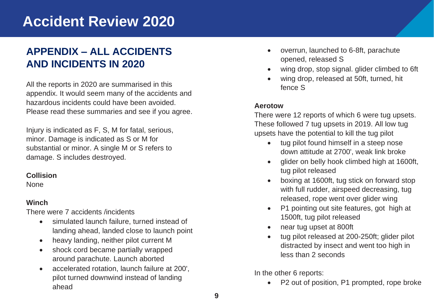### **APPENDIX – ALL ACCIDENTS AND INCIDENTS IN 2020**

All the reports in 2020 are summarised in this appendix. It would seem many of the accidents and hazardous incidents could have been avoided. Please read these summaries and see if you agree.

Injury is indicated as F, S, M for fatal, serious, minor. Damage is indicated as S or M for substantial or minor. A single M or S refers to damage. S includes destroyed.

### **Collision**

None

### **Winch**

There were 7 accidents /incidents

- simulated launch failure, turned instead of landing ahead, landed close to launch point
- heavy landing, neither pilot current M
- shock cord became partially wrapped around parachute. Launch aborted
- accelerated rotation, launch failure at 200', pilot turned downwind instead of landing ahead
- overrun, launched to 6-8ft, parachute opened, released S
- wing drop, stop signal. glider climbed to 6ft
- wing drop, released at 50ft, turned, hit fence S

### **Aerotow**

There were 12 reports of which 6 were tug upsets. These followed 7 tug upsets in 2019. All low tug upsets have the potential to kill the tug pilot

- tug pilot found himself in a steep nose down attitude at 2700', weak link broke
- glider on belly hook climbed high at 1600ft, tug pilot released
- boxing at 1600ft, tug stick on forward stop with full rudder, airspeed decreasing, tug released, rope went over glider wing
- P1 pointing out site features, got high at 1500ft, tug pilot released
- near tug upset at 800ft
- tug pilot released at 200-250ft; glider pilot distracted by insect and went too high in less than 2 seconds

In the other 6 reports:

• P2 out of position, P1 prompted, rope broke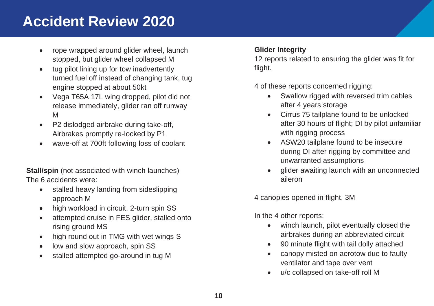- rope wrapped around glider wheel, launch stopped, but glider wheel collapsed M
- tug pilot lining up for tow inadvertently turned fuel off instead of changing tank, tug engine stopped at about 50kt
- Vega T65A 17L wing dropped, pilot did not release immediately, glider ran off runway M
- P2 dislodged airbrake during take-off, Airbrakes promptly re-locked by P1
- wave-off at 700ft following loss of coolant

**Stall/spin** (not associated with winch launches) The 6 accidents were:

- stalled heavy landing from sideslipping approach M
- high workload in circuit, 2-turn spin SS
- attempted cruise in FES glider, stalled onto rising ground MS
- high round out in TMG with wet wings S
- low and slow approach, spin SS
- stalled attempted go-around in tug M

### **Glider Integrity**

12 reports related to ensuring the glider was fit for flight.

4 of these reports concerned rigging:

- Swallow rigged with reversed trim cables after 4 years storage
- Cirrus 75 tailplane found to be unlocked after 30 hours of flight; DI by pilot unfamiliar with rigging process
- ASW20 tailplane found to be insecure during DI after rigging by committee and unwarranted assumptions
- glider awaiting launch with an unconnected aileron

4 canopies opened in flight, 3M

In the 4 other reports:

- winch launch, pilot eventually closed the airbrakes during an abbreviated circuit
- 90 minute flight with tail dolly attached
- canopy misted on aerotow due to faulty ventilator and tape over vent
- u/c collapsed on take-off roll M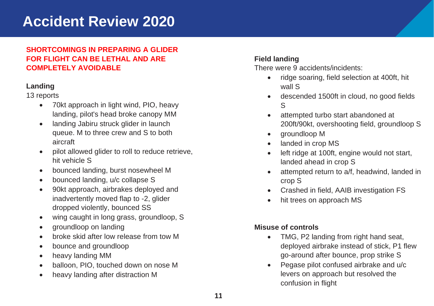### **SHORTCOMINGS IN PREPARING A GLIDER FOR FLIGHT CAN BE LETHAL AND ARE COMPLETELY AVOIDABLE**

### **Landing**

### 13 reports

- 70kt approach in light wind, PIO, heavy landing, pilot's head broke canopy MM
- landing Jabiru struck glider in launch queue. M to three crew and S to both aircraft
- pilot allowed glider to roll to reduce retrieve, hit vehicle S
- bounced landing, burst nosewheel M
- bounced landing, u/c collapse S
- 90kt approach, airbrakes deployed and inadvertently moved flap to -2, glider dropped violently, bounced SS
- wing caught in long grass, groundloop, S
- groundloop on landing
- broke skid after low release from tow M
- bounce and groundloop
- heavy landing MM
- balloon, PIO, touched down on nose M
- heavy landing after distraction M

### **Field landing**

There were 9 accidents/incidents:

- ridge soaring, field selection at 400ft, hit wall S
- descended 1500ft in cloud, no good fields S
- attempted turbo start abandoned at 200ft/90kt, overshooting field, groundloop S
- groundloop M
- landed in crop MS
- left ridge at 100ft, engine would not start, landed ahead in crop S
- attempted return to a/f, headwind, landed in crop S
- Crashed in field, AAIB investigation FS
- hit trees on approach MS

### **Misuse of controls**

- TMG, P2 landing from right hand seat, deployed airbrake instead of stick, P1 flew go-around after bounce, prop strike S
- Pegase pilot confused airbrake and u/c levers on approach but resolved the confusion in flight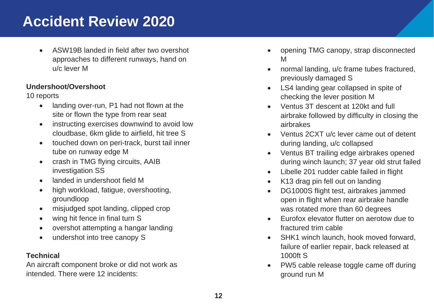• ASW19B landed in field after two overshot approaches to different runways, hand on u/c lever M

### **Undershoot/Overshoot**

10 reports

- landing over-run, P1 had not flown at the site or flown the type from rear seat
- instructing exercises downwind to avoid low cloudbase, 6km glide to airfield, hit tree S
- touched down on peri-track, burst tail inner tube on runway edge M
- crash in TMG flying circuits, AAIB investigation SS
- landed in undershoot field M
- high workload, fatigue, overshooting, groundloop
- misjudged spot landing, clipped crop
- wing hit fence in final turn S
- overshot attempting a hangar landing
- undershot into tree canopy S

### **Technical**

An aircraft component broke or did not work as intended. There were 12 incidents:

- opening TMG canopy, strap disconnected M
- normal landing, u/c frame tubes fractured, previously damaged S
- LS4 landing gear collapsed in spite of checking the lever position M
- Ventus 3T descent at 120kt and full airbrake followed by difficulty in closing the airbrakes
- Ventus 2CXT u/c lever came out of detent during landing, u/c collapsed
- Ventus BT trailing edge airbrakes opened during winch launch; 37 year old strut failed
- Libelle 201 rudder cable failed in flight
- K13 drag pin fell out on landing
- DG1000S flight test, airbrakes jammed open in flight when rear airbrake handle was rotated more than 60 degrees
- Eurofox elevator flutter on aerotow due to fractured trim cable
- SHK1 winch launch, hook moved forward, failure of earlier repair, back released at 1000ft S
- PW5 cable release toggle came off during ground run M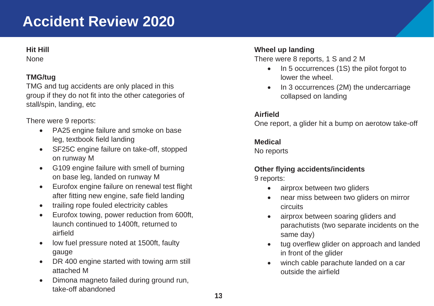### **Hit Hill**

None

### **TMG/tug**

TMG and tug accidents are only placed in this group if they do not fit into the other categories of stall/spin, landing, etc

There were 9 reports:

- PA25 engine failure and smoke on base leg, textbook field landing
- SF25C engine failure on take-off, stopped on runway M
- G109 engine failure with smell of burning on base leg, landed on runway M
- Eurofox engine failure on renewal test flight after fitting new engine, safe field landing
- trailing rope fouled electricity cables
- Eurofox towing, power reduction from 600ft, launch continued to 1400ft, returned to airfield
- low fuel pressure noted at 1500ft, faulty gauge
- DR 400 engine started with towing arm still attached M
- Dimona magneto failed during ground run, take-off abandoned

### **Wheel up landing**

There were 8 reports, 1 S and 2 M

- In 5 occurrences (1S) the pilot forgot to lower the wheel.
- In 3 occurrences (2M) the undercarriage collapsed on landing

### **Airfield**

One report, a glider hit a bump on aerotow take-off

### **Medical**

No reports

## **Other flying accidents/incidents**

9 reports:

- airprox between two gliders
- near miss between two gliders on mirror circuits
- airprox between soaring gliders and parachutists (two separate incidents on the same day)
- tug overflew glider on approach and landed in front of the glider
- winch cable parachute landed on a car outside the airfield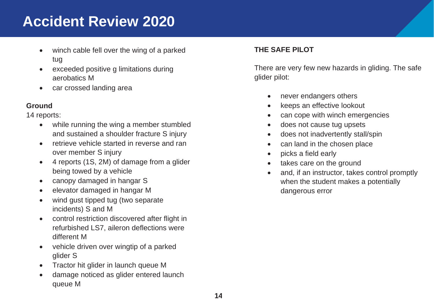- winch cable fell over the wing of a parked tug
- exceeded positive g limitations during aerobatics M
- car crossed landing area

### **Ground**

14 reports:

- while running the wing a member stumbled and sustained a shoulder fracture S injury
- retrieve vehicle started in reverse and ran over member S injury
- 4 reports (1S, 2M) of damage from a glider being towed by a vehicle
- canopy damaged in hangar S
- elevator damaged in hangar M
- wind gust tipped tug (two separate incidents) S and M
- control restriction discovered after flight in refurbished LS7, aileron deflections were different M
- vehicle driven over wingtip of a parked glider S
- Tractor hit glider in launch queue M
- damage noticed as glider entered launch queue M

### **THE SAFE PILOT**

There are very few new hazards in gliding. The safe glider pilot:

- never endangers others
- keeps an effective lookout
- can cope with winch emergencies
- does not cause tug upsets
- does not inadvertently stall/spin
- can land in the chosen place
- picks a field early
- takes care on the ground
- and, if an instructor, takes control promptly when the student makes a potentially dangerous error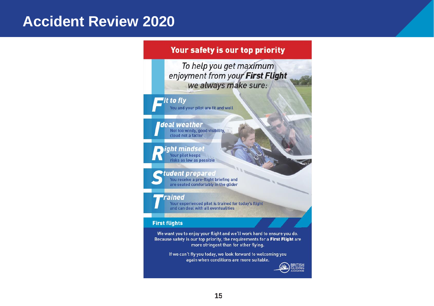### Your safety is our top priority